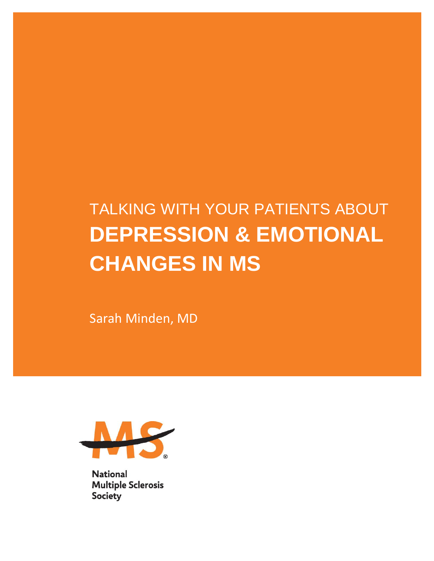# TALKING WITH YOUR PATIENTS ABOUT **DEPRESSION & EMOTIONAL CHANGES IN MS**

Sarah Minden, MD



**National Multiple Sclerosis Society**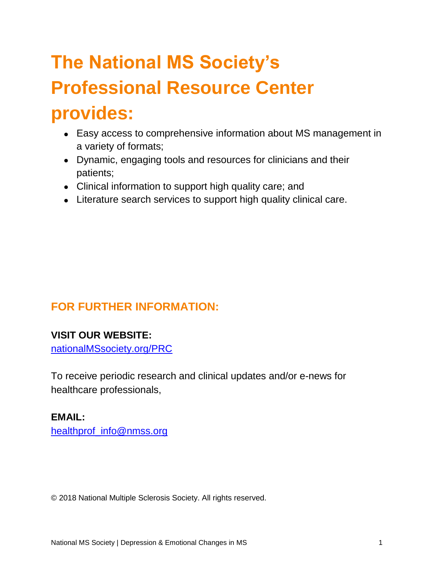# **The National MS Society's Professional Resource Center provides:**

- Easy access to comprehensive information about MS management in a variety of formats;
- Dynamic, engaging tools and resources for clinicians and their patients;
- Clinical information to support high quality care; and
- Literature search services to support high quality clinical care.

# **FOR FURTHER INFORMATION:**

### **VISIT OUR WEBSITE:**

[nationalMSsociety.org/PRC](http://www.nationalmssociety.org/prc)

To receive periodic research and clinical updates and/or e-news for healthcare professionals,

### **EMAIL:**

[healthprof\\_info@nmss.org](mailto:healthprof_info@nmss.org)

© 2018 National Multiple Sclerosis Society. All rights reserved.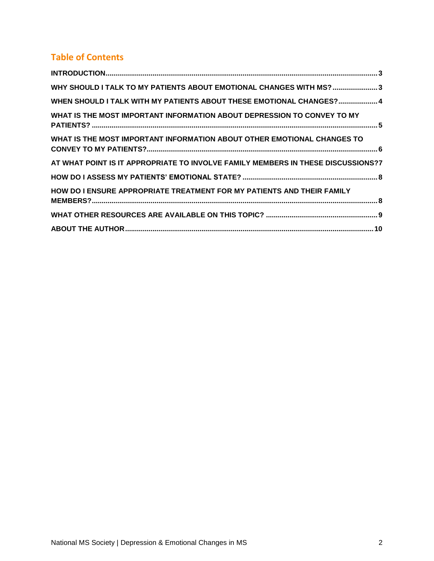# **Table of Contents**

| WHY SHOULD I TALK TO MY PATIENTS ABOUT EMOTIONAL CHANGES WITH MS?3               |
|----------------------------------------------------------------------------------|
| WHEN SHOULD I TALK WITH MY PATIENTS ABOUT THESE EMOTIONAL CHANGES? 4             |
| WHAT IS THE MOST IMPORTANT INFORMATION ABOUT DEPRESSION TO CONVEY TO MY          |
| WHAT IS THE MOST IMPORTANT INFORMATION ABOUT OTHER EMOTIONAL CHANGES TO          |
| AT WHAT POINT IS IT APPROPRIATE TO INVOLVE FAMILY MEMBERS IN THESE DISCUSSIONS?7 |
|                                                                                  |
| HOW DO I ENSURE APPROPRIATE TREATMENT FOR MY PATIENTS AND THEIR FAMILY           |
|                                                                                  |
|                                                                                  |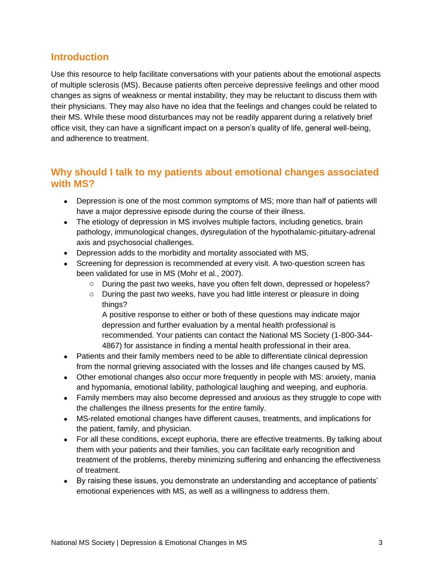### <span id="page-3-0"></span>**Introduction**

Use this resource to help facilitate conversations with your patients about the emotional aspects of multiple sclerosis (MS). Because patients often perceive depressive feelings and other mood changes as signs of weakness or mental instability, they may be reluctant to discuss them with their physicians. They may also have no idea that the feelings and changes could be related to their MS. While these mood disturbances may not be readily apparent during a relatively brief office visit, they can have a significant impact on a person's quality of life, general well-being, and adherence to treatment.

# <span id="page-3-1"></span>**Why should I talk to my patients about emotional changes associated with MS?**

- Depression is one of the most common symptoms of MS; more than half of patients will have a major depressive episode during the course of their illness.
- The etiology of depression in MS involves multiple factors, including genetics, brain pathology, immunological changes, dysregulation of the hypothalamic-pituitary-adrenal axis and psychosocial challenges.
- Depression adds to the morbidity and mortality associated with MS.
- Screening for depression is recommended at every visit. A two-question screen has been validated for use in MS (Mohr et al., 2007).
	- o During the past two weeks, have you often felt down, depressed or hopeless?
	- $\circ$  During the past two weeks, have you had little interest or pleasure in doing things?

A positive response to either or both of these questions may indicate major depression and further evaluation by a mental health professional is recommended. Your patients can contact the National MS Society (1-800-344- 4867) for assistance in finding a mental health professional in their area.

- Patients and their family members need to be able to differentiate clinical depression from the normal grieving associated with the losses and life changes caused by MS.
- Other emotional changes also occur more frequently in people with MS: anxiety, mania and hypomania, emotional lability, pathological laughing and weeping, and euphoria.
- Family members may also become depressed and anxious as they struggle to cope with the challenges the illness presents for the entire family.
- MS-related emotional changes have different causes, treatments, and implications for the patient, family, and physician.
- For all these conditions, except euphoria, there are effective treatments. By talking about them with your patients and their families, you can facilitate early recognition and treatment of the problems, thereby minimizing suffering and enhancing the effectiveness of treatment.
- By raising these issues, you demonstrate an understanding and acceptance of patients' emotional experiences with MS, as well as a willingness to address them.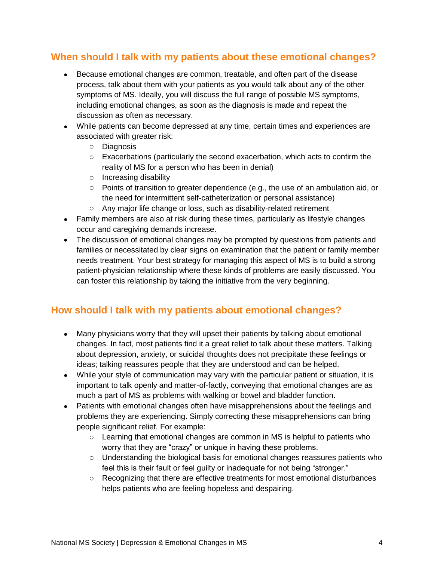# <span id="page-4-0"></span>**When should I talk with my patients about these emotional changes?**

- Because emotional changes are common, treatable, and often part of the disease process, talk about them with your patients as you would talk about any of the other symptoms of MS. Ideally, you will discuss the full range of possible MS symptoms, including emotional changes, as soon as the diagnosis is made and repeat the discussion as often as necessary.
- While patients can become depressed at any time, certain times and experiences are associated with greater risk:
	- o Diagnosis
	- $\circ$  Exacerbations (particularly the second exacerbation, which acts to confirm the reality of MS for a person who has been in denial)
	- o Increasing disability
	- $\circ$  Points of transition to greater dependence (e.g., the use of an ambulation aid, or the need for intermittent self-catheterization or personal assistance)
	- o Any major life change or loss, such as disability-related retirement
- Family members are also at risk during these times, particularly as lifestyle changes occur and caregiving demands increase.
- The discussion of emotional changes may be prompted by questions from patients and families or necessitated by clear signs on examination that the patient or family member needs treatment. Your best strategy for managing this aspect of MS is to build a strong patient-physician relationship where these kinds of problems are easily discussed. You can foster this relationship by taking the initiative from the very beginning.

# **How should I talk with my patients about emotional changes?**

- Many physicians worry that they will upset their patients by talking about emotional changes. In fact, most patients find it a great relief to talk about these matters. Talking about depression, anxiety, or suicidal thoughts does not precipitate these feelings or ideas; talking reassures people that they are understood and can be helped.
- While your style of communication may vary with the particular patient or situation, it is important to talk openly and matter-of-factly, conveying that emotional changes are as much a part of MS as problems with walking or bowel and bladder function.
- Patients with emotional changes often have misapprehensions about the feelings and problems they are experiencing. Simply correcting these misapprehensions can bring people significant relief. For example:
	- $\circ$  Learning that emotional changes are common in MS is helpful to patients who worry that they are "crazy" or unique in having these problems.
	- $\circ$  Understanding the biological basis for emotional changes reassures patients who feel this is their fault or feel guilty or inadequate for not being "stronger."
	- $\circ$  Recognizing that there are effective treatments for most emotional disturbances helps patients who are feeling hopeless and despairing.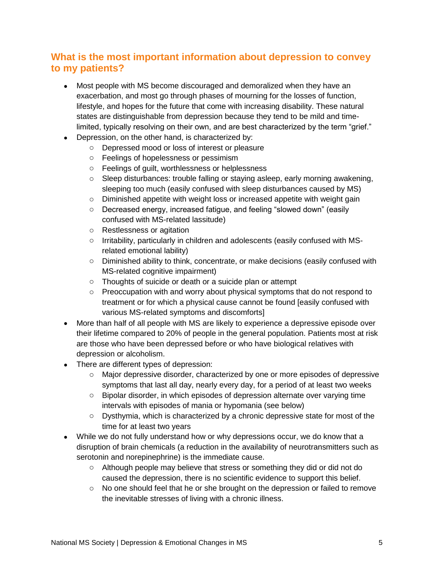# <span id="page-5-0"></span>**What is the most important information about depression to convey to my patients?**

- Most people with MS become discouraged and demoralized when they have an exacerbation, and most go through phases of mourning for the losses of function, lifestyle, and hopes for the future that come with increasing disability. These natural states are distinguishable from depression because they tend to be mild and timelimited, typically resolving on their own, and are best characterized by the term "grief."
- Depression, on the other hand, is characterized by:
	- o Depressed mood or loss of interest or pleasure
	- o Feelings of hopelessness or pessimism
	- o Feelings of guilt, worthlessness or helplessness
	- o Sleep disturbances: trouble falling or staying asleep, early morning awakening, sleeping too much (easily confused with sleep disturbances caused by MS)
	- $\circ$  Diminished appetite with weight loss or increased appetite with weight gain
	- o Decreased energy, increased fatigue, and feeling "slowed down" (easily confused with MS-related lassitude)
	- o Restlessness or agitation
	- $\circ$  Irritability, particularly in children and adolescents (easily confused with MSrelated emotional lability)
	- o Diminished ability to think, concentrate, or make decisions (easily confused with MS-related cognitive impairment)
	- o Thoughts of suicide or death or a suicide plan or attempt
	- o Preoccupation with and worry about physical symptoms that do not respond to treatment or for which a physical cause cannot be found [easily confused with various MS-related symptoms and discomforts]
- More than half of all people with MS are likely to experience a depressive episode over their lifetime compared to 20% of people in the general population. Patients most at risk are those who have been depressed before or who have biological relatives with depression or alcoholism.
- There are different types of depression:
	- o Major depressive disorder, characterized by one or more episodes of depressive symptoms that last all day, nearly every day, for a period of at least two weeks
	- $\circ$  Bipolar disorder, in which episodes of depression alternate over varying time intervals with episodes of mania or hypomania (see below)
	- o Dysthymia, which is characterized by a chronic depressive state for most of the time for at least two years
- While we do not fully understand how or why depressions occur, we do know that a disruption of brain chemicals (a reduction in the availability of neurotransmitters such as serotonin and norepinephrine) is the immediate cause.
	- o Although people may believe that stress or something they did or did not do caused the depression, there is no scientific evidence to support this belief.
	- $\circ$  No one should feel that he or she brought on the depression or failed to remove the inevitable stresses of living with a chronic illness.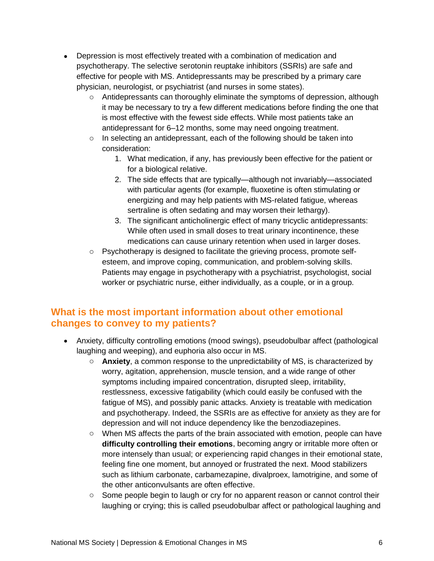- Depression is most effectively treated with a combination of medication and psychotherapy. The selective serotonin reuptake inhibitors (SSRIs) are safe and effective for people with MS. Antidepressants may be prescribed by a primary care physician, neurologist, or psychiatrist (and nurses in some states).
	- $\circ$  Antidepressants can thoroughly eliminate the symptoms of depression, although it may be necessary to try a few different medications before finding the one that is most effective with the fewest side effects. While most patients take an antidepressant for 6–12 months, some may need ongoing treatment.
	- o In selecting an antidepressant, each of the following should be taken into consideration:
		- 1. What medication, if any, has previously been effective for the patient or for a biological relative.
		- 2. The side effects that are typically—although not invariably—associated with particular agents (for example, fluoxetine is often stimulating or energizing and may help patients with MS-related fatigue, whereas sertraline is often sedating and may worsen their lethargy).
		- 3. The significant anticholinergic effect of many tricyclic antidepressants: While often used in small doses to treat urinary incontinence, these medications can cause urinary retention when used in larger doses.
	- o Psychotherapy is designed to facilitate the grieving process, promote selfesteem, and improve coping, communication, and problem-solving skills. Patients may engage in psychotherapy with a psychiatrist, psychologist, social worker or psychiatric nurse, either individually, as a couple, or in a group.

# <span id="page-6-0"></span>**What is the most important information about other emotional changes to convey to my patients?**

- Anxiety, difficulty controlling emotions (mood swings), pseudobulbar affect (pathological laughing and weeping), and euphoria also occur in MS.
	- o **Anxiety**, a common response to the unpredictability of MS, is characterized by worry, agitation, apprehension, muscle tension, and a wide range of other symptoms including impaired concentration, disrupted sleep, irritability, restlessness, excessive fatigability (which could easily be confused with the fatigue of MS), and possibly panic attacks. Anxiety is treatable with medication and psychotherapy. Indeed, the SSRIs are as effective for anxiety as they are for depression and will not induce dependency like the benzodiazepines.
	- $\circ$  When MS affects the parts of the brain associated with emotion, people can have **difficulty controlling their emotions**, becoming angry or irritable more often or more intensely than usual; or experiencing rapid changes in their emotional state, feeling fine one moment, but annoyed or frustrated the next. Mood stabilizers such as lithium carbonate, carbamezapine, divalproex, lamotrigine, and some of the other anticonvulsants are often effective.
	- $\circ$  Some people begin to laugh or cry for no apparent reason or cannot control their laughing or crying; this is called pseudobulbar affect or pathological laughing and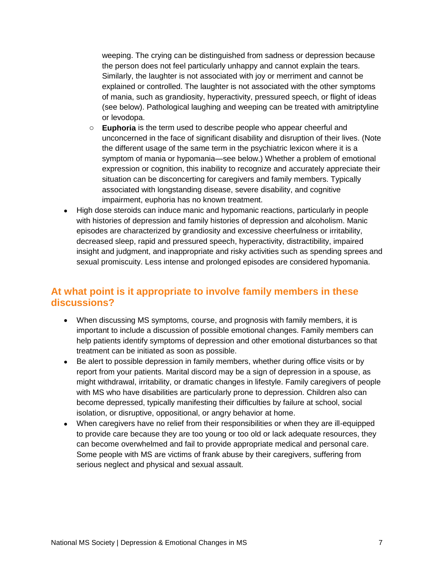weeping. The crying can be distinguished from sadness or depression because the person does not feel particularly unhappy and cannot explain the tears. Similarly, the laughter is not associated with joy or merriment and cannot be explained or controlled. The laughter is not associated with the other symptoms of mania, such as grandiosity, hyperactivity, pressured speech, or flight of ideas (see below). Pathological laughing and weeping can be treated with amitriptyline or levodopa.

- o **Euphoria** is the term used to describe people who appear cheerful and unconcerned in the face of significant disability and disruption of their lives. (Note the different usage of the same term in the psychiatric lexicon where it is a symptom of mania or hypomania—see below.) Whether a problem of emotional expression or cognition, this inability to recognize and accurately appreciate their situation can be disconcerting for caregivers and family members. Typically associated with longstanding disease, severe disability, and cognitive impairment, euphoria has no known treatment.
- High dose steroids can induce manic and hypomanic reactions, particularly in people with histories of depression and family histories of depression and alcoholism. Manic episodes are characterized by grandiosity and excessive cheerfulness or irritability, decreased sleep, rapid and pressured speech, hyperactivity, distractibility, impaired insight and judgment, and inappropriate and risky activities such as spending sprees and sexual promiscuity. Less intense and prolonged episodes are considered hypomania.

#### <span id="page-7-0"></span>**At what point is it appropriate to involve family members in these discussions?**

- When discussing MS symptoms, course, and prognosis with family members, it is important to include a discussion of possible emotional changes. Family members can help patients identify symptoms of depression and other emotional disturbances so that treatment can be initiated as soon as possible.
- Be alert to possible depression in family members, whether during office visits or by report from your patients. Marital discord may be a sign of depression in a spouse, as might withdrawal, irritability, or dramatic changes in lifestyle. Family caregivers of people with MS who have disabilities are particularly prone to depression. Children also can become depressed, typically manifesting their difficulties by failure at school, social isolation, or disruptive, oppositional, or angry behavior at home.
- When caregivers have no relief from their responsibilities or when they are ill-equipped to provide care because they are too young or too old or lack adequate resources, they can become overwhelmed and fail to provide appropriate medical and personal care. Some people with MS are victims of frank abuse by their caregivers, suffering from serious neglect and physical and sexual assault.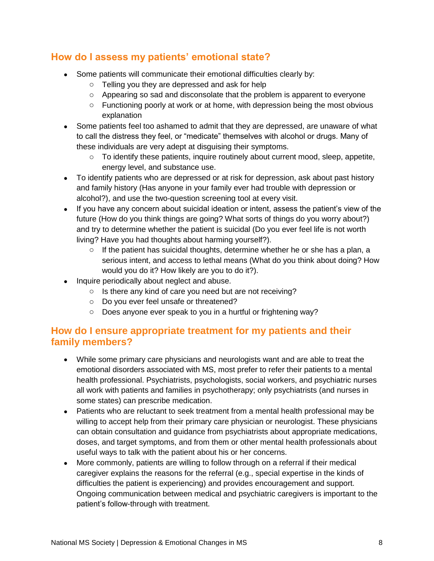# <span id="page-8-0"></span>**How do I assess my patients' emotional state?**

- Some patients will communicate their emotional difficulties clearly by:
	- o Telling you they are depressed and ask for help
	- $\circ$  Appearing so sad and disconsolate that the problem is apparent to everyone
	- o Functioning poorly at work or at home, with depression being the most obvious explanation
- Some patients feel too ashamed to admit that they are depressed, are unaware of what to call the distress they feel, or "medicate" themselves with alcohol or drugs. Many of these individuals are very adept at disguising their symptoms.
	- $\circ$  To identify these patients, inquire routinely about current mood, sleep, appetite, energy level, and substance use.
- To identify patients who are depressed or at risk for depression, ask about past history and family history (Has anyone in your family ever had trouble with depression or alcohol?), and use the two-question screening tool at every visit.
- If you have any concern about suicidal ideation or intent, assess the patient's view of the future (How do you think things are going? What sorts of things do you worry about?) and try to determine whether the patient is suicidal (Do you ever feel life is not worth living? Have you had thoughts about harming yourself?).
	- $\circ$  If the patient has suicidal thoughts, determine whether he or she has a plan, a serious intent, and access to lethal means (What do you think about doing? How would you do it? How likely are you to do it?).
- Inquire periodically about neglect and abuse.
	- o Is there any kind of care you need but are not receiving?
	- o Do you ever feel unsafe or threatened?
	- o Does anyone ever speak to you in a hurtful or frightening way?

#### <span id="page-8-1"></span>**How do I ensure appropriate treatment for my patients and their family members?**

- While some primary care physicians and neurologists want and are able to treat the emotional disorders associated with MS, most prefer to refer their patients to a mental health professional. Psychiatrists, psychologists, social workers, and psychiatric nurses all work with patients and families in psychotherapy; only psychiatrists (and nurses in some states) can prescribe medication.
- Patients who are reluctant to seek treatment from a mental health professional may be willing to accept help from their primary care physician or neurologist. These physicians can obtain consultation and guidance from psychiatrists about appropriate medications, doses, and target symptoms, and from them or other mental health professionals about useful ways to talk with the patient about his or her concerns.
- More commonly, patients are willing to follow through on a referral if their medical caregiver explains the reasons for the referral (e.g., special expertise in the kinds of difficulties the patient is experiencing) and provides encouragement and support. Ongoing communication between medical and psychiatric caregivers is important to the patient's follow-through with treatment.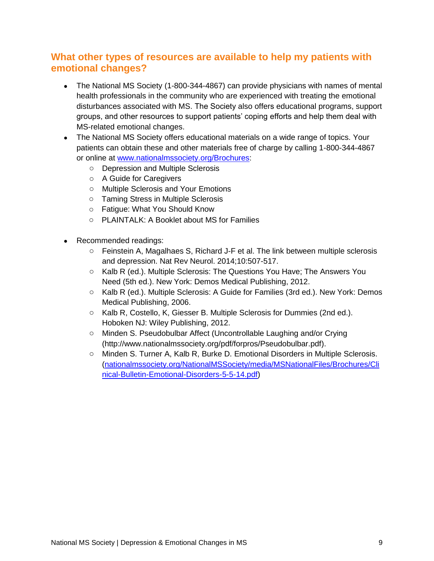# <span id="page-9-0"></span>**What other types of resources are available to help my patients with emotional changes?**

- The National MS Society (1-800-344-4867) can provide physicians with names of mental health professionals in the community who are experienced with treating the emotional disturbances associated with MS. The Society also offers educational programs, support groups, and other resources to support patients' coping efforts and help them deal with MS-related emotional changes.
- The National MS Society offers educational materials on a wide range of topics. Your patients can obtain these and other materials free of charge by calling 1-800-344-4867 or online at [www.nationalmssociety.org/Brochures:](http://www.nationalmssociety.org/Brochures)
	- o Depression and Multiple Sclerosis
	- o A Guide for Caregivers
	- o Multiple Sclerosis and Your Emotions
	- o Taming Stress in Multiple Sclerosis
	- o Fatigue: What You Should Know
	- o PLAINTALK: A Booklet about MS for Families
- <span id="page-9-1"></span>• Recommended readings:
	- o Feinstein A, Magalhaes S, Richard J-F et al. The link between multiple sclerosis and depression. Nat Rev Neurol. 2014;10:507-517.
	- o Kalb R (ed.). Multiple Sclerosis: The Questions You Have; The Answers You Need (5th ed.). New York: Demos Medical Publishing, 2012.
	- o Kalb R (ed.). Multiple Sclerosis: A Guide for Families (3rd ed.). New York: Demos Medical Publishing, 2006.
	- o Kalb R, Costello, K, Giesser B. Multiple Sclerosis for Dummies (2nd ed.). Hoboken NJ: Wiley Publishing, 2012.
	- o Minden S. Pseudobulbar Affect (Uncontrollable Laughing and/or Crying [\(http://www.nationalmssociety.org/pdf/forpros/Pseudobulbar.pdf\)](http://www.nationalmssociety.org/pdf/forpros/Pseudobulbar.pdf).
	- o Minden S. Turner A, Kalb R, Burke D. Emotional Disorders in Multiple Sclerosis. [\(nationalmssociety.org/NationalMSSociety/media/MSNationalFiles/Brochures/Cli](http://www.nationalmssociety.org/NationalMSSociety/media/MSNationalFiles/Brochures/Clinical-Bulletin-Emotional-Disorders-5-5-14.pdf) [nical-Bulletin-Emotional-Disorders-5-5-14.pdf\)](http://www.nationalmssociety.org/NationalMSSociety/media/MSNationalFiles/Brochures/Clinical-Bulletin-Emotional-Disorders-5-5-14.pdf)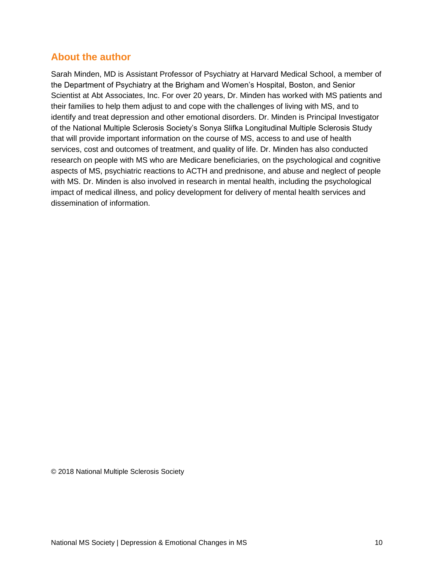#### **About the author**

Sarah Minden, MD is Assistant Professor of Psychiatry at Harvard Medical School, a member of the Department of Psychiatry at the Brigham and Women's Hospital, Boston, and Senior Scientist at Abt Associates, Inc. For over 20 years, Dr. Minden has worked with MS patients and their families to help them adjust to and cope with the challenges of living with MS, and to identify and treat depression and other emotional disorders. Dr. Minden is Principal Investigator of the National Multiple Sclerosis Society's Sonya Slifka Longitudinal Multiple Sclerosis Study that will provide important information on the course of MS, access to and use of health services, cost and outcomes of treatment, and quality of life. Dr. Minden has also conducted research on people with MS who are Medicare beneficiaries, on the psychological and cognitive aspects of MS, psychiatric reactions to ACTH and prednisone, and abuse and neglect of people with MS. Dr. Minden is also involved in research in mental health, including the psychological impact of medical illness, and policy development for delivery of mental health services and dissemination of information.

© 2018 National Multiple Sclerosis Society